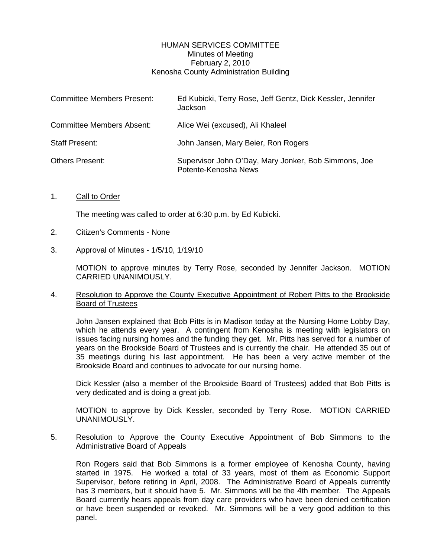# HUMAN SERVICES COMMITTEE Minutes of Meeting February 2, 2010 Kenosha County Administration Building

| <b>Committee Members Present:</b> | Ed Kubicki, Terry Rose, Jeff Gentz, Dick Kessler, Jennifer<br>Jackson        |
|-----------------------------------|------------------------------------------------------------------------------|
| <b>Committee Members Absent:</b>  | Alice Wei (excused), Ali Khaleel                                             |
| <b>Staff Present:</b>             | John Jansen, Mary Beier, Ron Rogers                                          |
| <b>Others Present:</b>            | Supervisor John O'Day, Mary Jonker, Bob Simmons, Joe<br>Potente-Kenosha News |

1. Call to Order

The meeting was called to order at 6:30 p.m. by Ed Kubicki.

- 2. Citizen's Comments None
- 3. Approval of Minutes 1/5/10, 1/19/10

 MOTION to approve minutes by Terry Rose, seconded by Jennifer Jackson. MOTION CARRIED UNANIMOUSLY.

# 4. Resolution to Approve the County Executive Appointment of Robert Pitts to the Brookside Board of Trustees

 John Jansen explained that Bob Pitts is in Madison today at the Nursing Home Lobby Day, which he attends every year. A contingent from Kenosha is meeting with legislators on issues facing nursing homes and the funding they get. Mr. Pitts has served for a number of years on the Brookside Board of Trustees and is currently the chair. He attended 35 out of 35 meetings during his last appointment. He has been a very active member of the Brookside Board and continues to advocate for our nursing home.

 Dick Kessler (also a member of the Brookside Board of Trustees) added that Bob Pitts is very dedicated and is doing a great job.

 MOTION to approve by Dick Kessler, seconded by Terry Rose. MOTION CARRIED UNANIMOUSLY.

## 5. Resolution to Approve the County Executive Appointment of Bob Simmons to the Administrative Board of Appeals

 Ron Rogers said that Bob Simmons is a former employee of Kenosha County, having started in 1975. He worked a total of 33 years, most of them as Economic Support Supervisor, before retiring in April, 2008. The Administrative Board of Appeals currently has 3 members, but it should have 5. Mr. Simmons will be the 4th member. The Appeals Board currently hears appeals from day care providers who have been denied certification or have been suspended or revoked. Mr. Simmons will be a very good addition to this panel.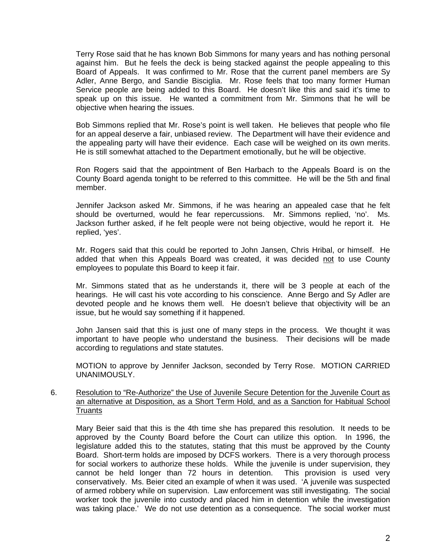Terry Rose said that he has known Bob Simmons for many years and has nothing personal against him. But he feels the deck is being stacked against the people appealing to this Board of Appeals. It was confirmed to Mr. Rose that the current panel members are Sy Adler, Anne Bergo, and Sandie Bisciglia. Mr. Rose feels that too many former Human Service people are being added to this Board. He doesn't like this and said it's time to speak up on this issue. He wanted a commitment from Mr. Simmons that he will be objective when hearing the issues.

 Bob Simmons replied that Mr. Rose's point is well taken. He believes that people who file for an appeal deserve a fair, unbiased review. The Department will have their evidence and the appealing party will have their evidence. Each case will be weighed on its own merits. He is still somewhat attached to the Department emotionally, but he will be objective.

 Ron Rogers said that the appointment of Ben Harbach to the Appeals Board is on the County Board agenda tonight to be referred to this committee. He will be the 5th and final member.

 Jennifer Jackson asked Mr. Simmons, if he was hearing an appealed case that he felt should be overturned, would he fear repercussions. Mr. Simmons replied, 'no'. Ms. Jackson further asked, if he felt people were not being objective, would he report it. He replied, 'yes'.

 Mr. Rogers said that this could be reported to John Jansen, Chris Hribal, or himself. He added that when this Appeals Board was created, it was decided not to use County employees to populate this Board to keep it fair.

 Mr. Simmons stated that as he understands it, there will be 3 people at each of the hearings. He will cast his vote according to his conscience. Anne Bergo and Sy Adler are devoted people and he knows them well. He doesn't believe that objectivity will be an issue, but he would say something if it happened.

 John Jansen said that this is just one of many steps in the process. We thought it was important to have people who understand the business. Their decisions will be made according to regulations and state statutes.

 MOTION to approve by Jennifer Jackson, seconded by Terry Rose. MOTION CARRIED UNANIMOUSLY.

## 6. Resolution to "Re-Authorize" the Use of Juvenile Secure Detention for the Juvenile Court as an alternative at Disposition, as a Short Term Hold, and as a Sanction for Habitual School **Truants**

 Mary Beier said that this is the 4th time she has prepared this resolution. It needs to be approved by the County Board before the Court can utilize this option. In 1996, the legislature added this to the statutes, stating that this must be approved by the County Board. Short-term holds are imposed by DCFS workers. There is a very thorough process for social workers to authorize these holds. While the juvenile is under supervision, they cannot be held longer than 72 hours in detention. This provision is used very conservatively. Ms. Beier cited an example of when it was used. 'A juvenile was suspected of armed robbery while on supervision. Law enforcement was still investigating. The social worker took the juvenile into custody and placed him in detention while the investigation was taking place.' We do not use detention as a consequence. The social worker must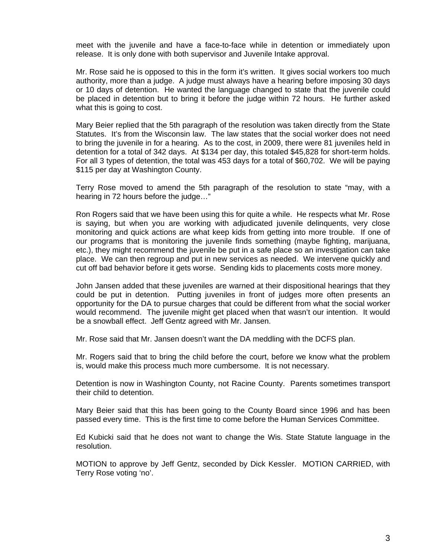meet with the juvenile and have a face-to-face while in detention or immediately upon release. It is only done with both supervisor and Juvenile Intake approval.

 Mr. Rose said he is opposed to this in the form it's written. It gives social workers too much authority, more than a judge. A judge must always have a hearing before imposing 30 days or 10 days of detention. He wanted the language changed to state that the juvenile could be placed in detention but to bring it before the judge within 72 hours. He further asked what this is going to cost.

 Mary Beier replied that the 5th paragraph of the resolution was taken directly from the State Statutes. It's from the Wisconsin law. The law states that the social worker does not need to bring the juvenile in for a hearing. As to the cost, in 2009, there were 81 juveniles held in detention for a total of 342 days. At \$134 per day, this totaled \$45,828 for short-term holds. For all 3 types of detention, the total was 453 days for a total of \$60,702. We will be paying \$115 per day at Washington County.

 Terry Rose moved to amend the 5th paragraph of the resolution to state "may, with a hearing in 72 hours before the judge…"

 Ron Rogers said that we have been using this for quite a while. He respects what Mr. Rose is saying, but when you are working with adjudicated juvenile delinquents, very close monitoring and quick actions are what keep kids from getting into more trouble. If one of our programs that is monitoring the juvenile finds something (maybe fighting, marijuana, etc.), they might recommend the juvenile be put in a safe place so an investigation can take place. We can then regroup and put in new services as needed. We intervene quickly and cut off bad behavior before it gets worse. Sending kids to placements costs more money.

 John Jansen added that these juveniles are warned at their dispositional hearings that they could be put in detention. Putting juveniles in front of judges more often presents an opportunity for the DA to pursue charges that could be different from what the social worker would recommend. The juvenile might get placed when that wasn't our intention. It would be a snowball effect. Jeff Gentz agreed with Mr. Jansen.

Mr. Rose said that Mr. Jansen doesn't want the DA meddling with the DCFS plan.

 Mr. Rogers said that to bring the child before the court, before we know what the problem is, would make this process much more cumbersome. It is not necessary.

 Detention is now in Washington County, not Racine County. Parents sometimes transport their child to detention.

 Mary Beier said that this has been going to the County Board since 1996 and has been passed every time. This is the first time to come before the Human Services Committee.

 Ed Kubicki said that he does not want to change the Wis. State Statute language in the resolution.

 MOTION to approve by Jeff Gentz, seconded by Dick Kessler. MOTION CARRIED, with Terry Rose voting 'no'.